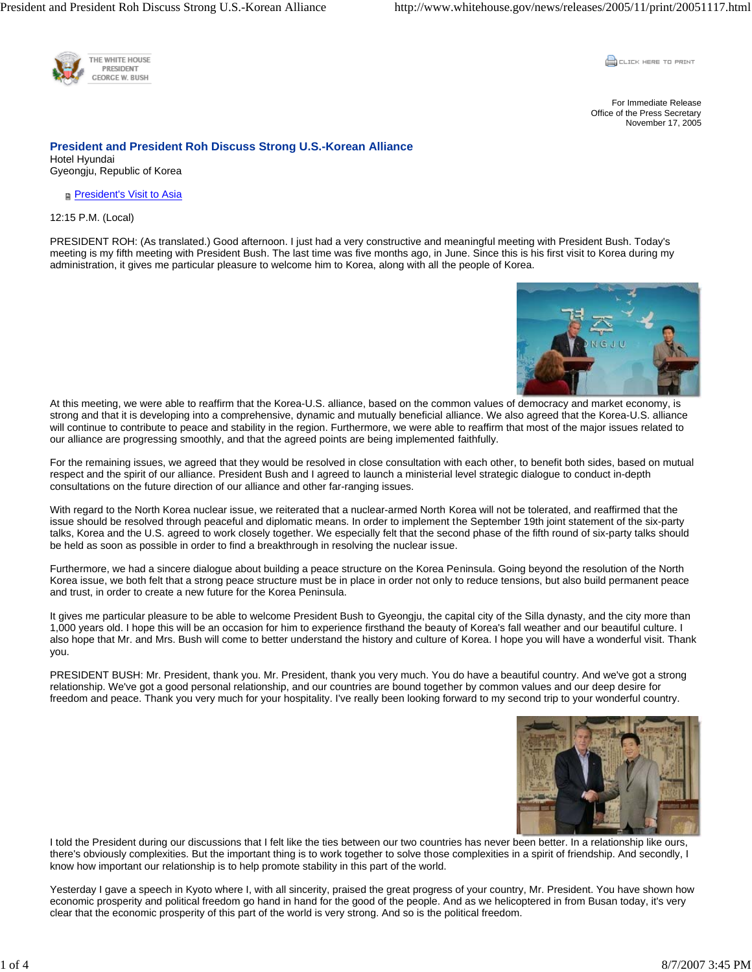

**CLICK HERE TO PRINT** 

For Immediate Release Office of the Press Secretary November 17, 2005

## **President and President Roh Discuss Strong U.S.-Korean Alliance**  Hotel Hyundai

Gyeongju, Republic of Korea

**President's Visit to Asia** 

12:15 P.M. (Local)

PRESIDENT ROH: (As translated.) Good afternoon. I just had a very constructive and meaningful meeting with President Bush. Today's meeting is my fifth meeting with President Bush. The last time was five months ago, in June. Since this is his first visit to Korea during my administration, it gives me particular pleasure to welcome him to Korea, along with all the people of Korea.



At this meeting, we were able to reaffirm that the Korea-U.S. alliance, based on the common values of democracy and market economy, is strong and that it is developing into a comprehensive, dynamic and mutually beneficial alliance. We also agreed that the Korea-U.S. alliance will continue to contribute to peace and stability in the region. Furthermore, we were able to reaffirm that most of the major issues related to our alliance are progressing smoothly, and that the agreed points are being implemented faithfully.

For the remaining issues, we agreed that they would be resolved in close consultation with each other, to benefit both sides, based on mutual respect and the spirit of our alliance. President Bush and I agreed to launch a ministerial level strategic dialogue to conduct in-depth consultations on the future direction of our alliance and other far-ranging issues.

With regard to the North Korea nuclear issue, we reiterated that a nuclear-armed North Korea will not be tolerated, and reaffirmed that the issue should be resolved through peaceful and diplomatic means. In order to implement the September 19th joint statement of the six-party talks, Korea and the U.S. agreed to work closely together. We especially felt that the second phase of the fifth round of six-party talks should be held as soon as possible in order to find a breakthrough in resolving the nuclear issue.

Furthermore, we had a sincere dialogue about building a peace structure on the Korea Peninsula. Going beyond the resolution of the North Korea issue, we both felt that a strong peace structure must be in place in order not only to reduce tensions, but also build permanent peace and trust, in order to create a new future for the Korea Peninsula.

It gives me particular pleasure to be able to welcome President Bush to Gyeongju, the capital city of the Silla dynasty, and the city more than 1,000 years old. I hope this will be an occasion for him to experience firsthand the beauty of Korea's fall weather and our beautiful culture. I also hope that Mr. and Mrs. Bush will come to better understand the history and culture of Korea. I hope you will have a wonderful visit. Thank you.

PRESIDENT BUSH: Mr. President, thank you. Mr. President, thank you very much. You do have a beautiful country. And we've got a strong relationship. We've got a good personal relationship, and our countries are bound together by common values and our deep desire for freedom and peace. Thank you very much for your hospitality. I've really been looking forward to my second trip to your wonderful country.



I told the President during our discussions that I felt like the ties between our two countries has never been better. In a relationship like ours, there's obviously complexities. But the important thing is to work together to solve those complexities in a spirit of friendship. And secondly, I know how important our relationship is to help promote stability in this part of the world.

Yesterday I gave a speech in Kyoto where I, with all sincerity, praised the great progress of your country, Mr. President. You have shown how economic prosperity and political freedom go hand in hand for the good of the people. And as we helicoptered in from Busan today, it's very clear that the economic prosperity of this part of the world is very strong. And so is the political freedom.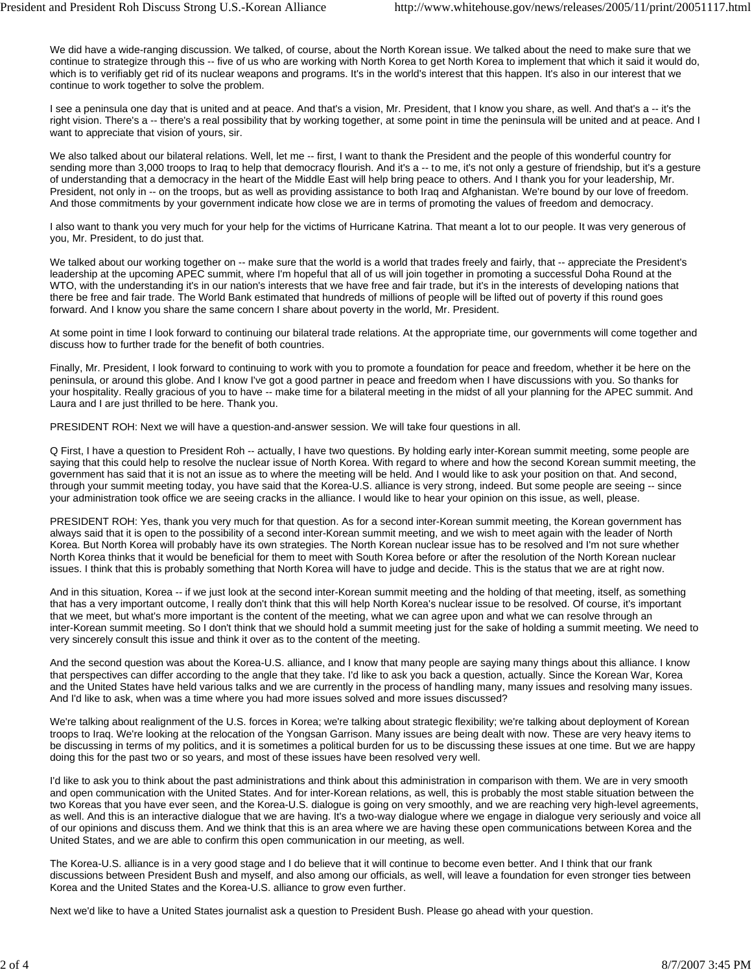We did have a wide-ranging discussion. We talked, of course, about the North Korean issue. We talked about the need to make sure that we continue to strategize through this -- five of us who are working with North Korea to get North Korea to implement that which it said it would do, which is to verifiably get rid of its nuclear weapons and programs. It's in the world's interest that this happen. It's also in our interest that we continue to work together to solve the problem.

I see a peninsula one day that is united and at peace. And that's a vision, Mr. President, that I know you share, as well. And that's a -- it's the right vision. There's a -- there's a real possibility that by working together, at some point in time the peninsula will be united and at peace. And I want to appreciate that vision of yours, sir.

We also talked about our bilateral relations. Well, let me -- first, I want to thank the President and the people of this wonderful country for sending more than 3,000 troops to Iraq to help that democracy flourish. And it's a -- to me, it's not only a gesture of friendship, but it's a gesture of understanding that a democracy in the heart of the Middle East will help bring peace to others. And I thank you for your leadership, Mr. President, not only in -- on the troops, but as well as providing assistance to both Iraq and Afghanistan. We're bound by our love of freedom. And those commitments by your government indicate how close we are in terms of promoting the values of freedom and democracy.

I also want to thank you very much for your help for the victims of Hurricane Katrina. That meant a lot to our people. It was very generous of you, Mr. President, to do just that.

We talked about our working together on -- make sure that the world is a world that trades freely and fairly, that -- appreciate the President's leadership at the upcoming APEC summit, where I'm hopeful that all of us will join together in promoting a successful Doha Round at the WTO, with the understanding it's in our nation's interests that we have free and fair trade, but it's in the interests of developing nations that there be free and fair trade. The World Bank estimated that hundreds of millions of people will be lifted out of poverty if this round goes forward. And I know you share the same concern I share about poverty in the world, Mr. President.

At some point in time I look forward to continuing our bilateral trade relations. At the appropriate time, our governments will come together and discuss how to further trade for the benefit of both countries.

Finally, Mr. President, I look forward to continuing to work with you to promote a foundation for peace and freedom, whether it be here on the peninsula, or around this globe. And I know I've got a good partner in peace and freedom when I have discussions with you. So thanks for your hospitality. Really gracious of you to have -- make time for a bilateral meeting in the midst of all your planning for the APEC summit. And Laura and I are just thrilled to be here. Thank you.

PRESIDENT ROH: Next we will have a question-and-answer session. We will take four questions in all.

Q First, I have a question to President Roh -- actually, I have two questions. By holding early inter-Korean summit meeting, some people are saying that this could help to resolve the nuclear issue of North Korea. With regard to where and how the second Korean summit meeting, the government has said that it is not an issue as to where the meeting will be held. And I would like to ask your position on that. And second, through your summit meeting today, you have said that the Korea-U.S. alliance is very strong, indeed. But some people are seeing -- since your administration took office we are seeing cracks in the alliance. I would like to hear your opinion on this issue, as well, please.

PRESIDENT ROH: Yes, thank you very much for that question. As for a second inter-Korean summit meeting, the Korean government has always said that it is open to the possibility of a second inter-Korean summit meeting, and we wish to meet again with the leader of North Korea. But North Korea will probably have its own strategies. The North Korean nuclear issue has to be resolved and I'm not sure whether North Korea thinks that it would be beneficial for them to meet with South Korea before or after the resolution of the North Korean nuclear issues. I think that this is probably something that North Korea will have to judge and decide. This is the status that we are at right now.

And in this situation, Korea -- if we just look at the second inter-Korean summit meeting and the holding of that meeting, itself, as something that has a very important outcome, I really don't think that this will help North Korea's nuclear issue to be resolved. Of course, it's important that we meet, but what's more important is the content of the meeting, what we can agree upon and what we can resolve through an inter-Korean summit meeting. So I don't think that we should hold a summit meeting just for the sake of holding a summit meeting. We need to very sincerely consult this issue and think it over as to the content of the meeting.

And the second question was about the Korea-U.S. alliance, and I know that many people are saying many things about this alliance. I know that perspectives can differ according to the angle that they take. I'd like to ask you back a question, actually. Since the Korean War, Korea and the United States have held various talks and we are currently in the process of handling many, many issues and resolving many issues. And I'd like to ask, when was a time where you had more issues solved and more issues discussed?

We're talking about realignment of the U.S. forces in Korea; we're talking about strategic flexibility; we're talking about deployment of Korean troops to Iraq. We're looking at the relocation of the Yongsan Garrison. Many issues are being dealt with now. These are very heavy items to be discussing in terms of my politics, and it is sometimes a political burden for us to be discussing these issues at one time. But we are happy doing this for the past two or so years, and most of these issues have been resolved very well.

I'd like to ask you to think about the past administrations and think about this administration in comparison with them. We are in very smooth and open communication with the United States. And for inter-Korean relations, as well, this is probably the most stable situation between the two Koreas that you have ever seen, and the Korea-U.S. dialogue is going on very smoothly, and we are reaching very high-level agreements, as well. And this is an interactive dialogue that we are having. It's a two-way dialogue where we engage in dialogue very seriously and voice all of our opinions and discuss them. And we think that this is an area where we are having these open communications between Korea and the United States, and we are able to confirm this open communication in our meeting, as well.

The Korea-U.S. alliance is in a very good stage and I do believe that it will continue to become even better. And I think that our frank discussions between President Bush and myself, and also among our officials, as well, will leave a foundation for even stronger ties between Korea and the United States and the Korea-U.S. alliance to grow even further.

Next we'd like to have a United States journalist ask a question to President Bush. Please go ahead with your question.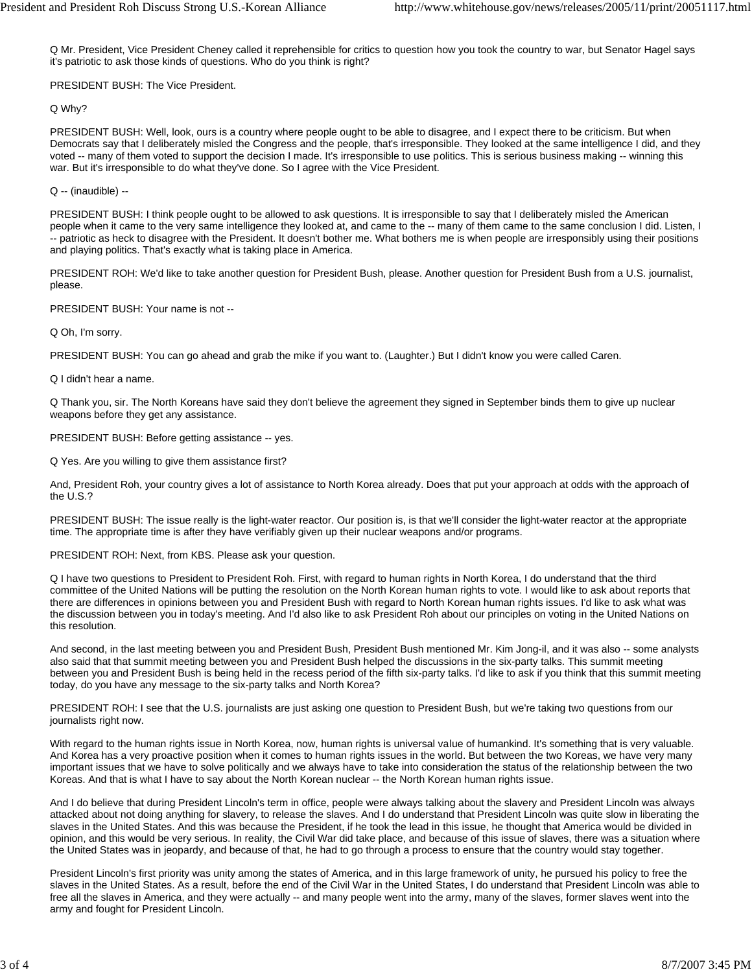Q Mr. President, Vice President Cheney called it reprehensible for critics to question how you took the country to war, but Senator Hagel says it's patriotic to ask those kinds of questions. Who do you think is right?

PRESIDENT BUSH: The Vice President.

Q Why?

PRESIDENT BUSH: Well, look, ours is a country where people ought to be able to disagree, and I expect there to be criticism. But when Democrats say that I deliberately misled the Congress and the people, that's irresponsible. They looked at the same intelligence I did, and they voted -- many of them voted to support the decision I made. It's irresponsible to use politics. This is serious business making -- winning this war. But it's irresponsible to do what they've done. So I agree with the Vice President.

Q -- (inaudible) --

PRESIDENT BUSH: I think people ought to be allowed to ask questions. It is irresponsible to say that I deliberately misled the American people when it came to the very same intelligence they looked at, and came to the -- many of them came to the same conclusion I did. Listen, I -- patriotic as heck to disagree with the President. It doesn't bother me. What bothers me is when people are irresponsibly using their positions and playing politics. That's exactly what is taking place in America.

PRESIDENT ROH: We'd like to take another question for President Bush, please. Another question for President Bush from a U.S. journalist, please.

PRESIDENT BUSH: Your name is not --

Q Oh, I'm sorry.

PRESIDENT BUSH: You can go ahead and grab the mike if you want to. (Laughter.) But I didn't know you were called Caren.

Q I didn't hear a name.

Q Thank you, sir. The North Koreans have said they don't believe the agreement they signed in September binds them to give up nuclear weapons before they get any assistance.

PRESIDENT BUSH: Before getting assistance -- yes.

Q Yes. Are you willing to give them assistance first?

And, President Roh, your country gives a lot of assistance to North Korea already. Does that put your approach at odds with the approach of the U.S.?

PRESIDENT BUSH: The issue really is the light-water reactor. Our position is, is that we'll consider the light-water reactor at the appropriate time. The appropriate time is after they have verifiably given up their nuclear weapons and/or programs.

PRESIDENT ROH: Next, from KBS. Please ask your question.

Q I have two questions to President to President Roh. First, with regard to human rights in North Korea, I do understand that the third committee of the United Nations will be putting the resolution on the North Korean human rights to vote. I would like to ask about reports that there are differences in opinions between you and President Bush with regard to North Korean human rights issues. I'd like to ask what was the discussion between you in today's meeting. And I'd also like to ask President Roh about our principles on voting in the United Nations on this resolution.

And second, in the last meeting between you and President Bush, President Bush mentioned Mr. Kim Jong-il, and it was also -- some analysts also said that that summit meeting between you and President Bush helped the discussions in the six-party talks. This summit meeting between you and President Bush is being held in the recess period of the fifth six-party talks. I'd like to ask if you think that this summit meeting today, do you have any message to the six-party talks and North Korea?

PRESIDENT ROH: I see that the U.S. journalists are just asking one question to President Bush, but we're taking two questions from our journalists right now.

With regard to the human rights issue in North Korea, now, human rights is universal value of humankind. It's something that is very valuable. And Korea has a very proactive position when it comes to human rights issues in the world. But between the two Koreas, we have very many important issues that we have to solve politically and we always have to take into consideration the status of the relationship between the two Koreas. And that is what I have to say about the North Korean nuclear -- the North Korean human rights issue.

And I do believe that during President Lincoln's term in office, people were always talking about the slavery and President Lincoln was always attacked about not doing anything for slavery, to release the slaves. And I do understand that President Lincoln was quite slow in liberating the slaves in the United States. And this was because the President, if he took the lead in this issue, he thought that America would be divided in opinion, and this would be very serious. In reality, the Civil War did take place, and because of this issue of slaves, there was a situation where the United States was in jeopardy, and because of that, he had to go through a process to ensure that the country would stay together.

President Lincoln's first priority was unity among the states of America, and in this large framework of unity, he pursued his policy to free the slaves in the United States. As a result, before the end of the Civil War in the United States, I do understand that President Lincoln was able to free all the slaves in America, and they were actually -- and many people went into the army, many of the slaves, former slaves went into the army and fought for President Lincoln.